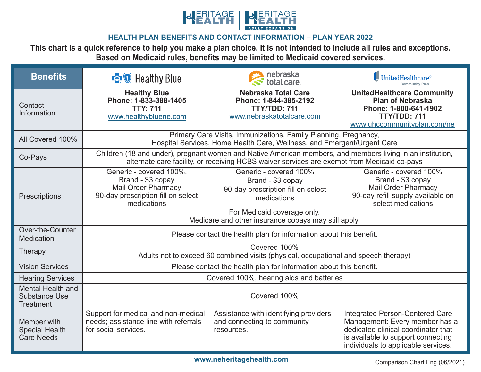

### **HEALTH PLAN BENEFITS AND CONTACT INFORMATION - PLAN YEAR 2022**

This chart is a quick reference to help you make a plan choice. It is not intended to include all rules and exceptions. **Based on Medicaid rules, benefits may be limited to Medicaid covered services.** 

| <b>Benefits</b>                                                      | <b>E</b> V Healthy Blue                                                                                                                                                                                   | nebraska<br>total care                                                                           | UnitedHealthcare®                                                                                                                                                                     |
|----------------------------------------------------------------------|-----------------------------------------------------------------------------------------------------------------------------------------------------------------------------------------------------------|--------------------------------------------------------------------------------------------------|---------------------------------------------------------------------------------------------------------------------------------------------------------------------------------------|
| Contact<br>Information                                               | <b>Healthy Blue</b><br>Phone: 1-833-388-1405<br><b>TTY: 711</b><br>www.healthybluene.com                                                                                                                  | <b>Nebraska Total Care</b><br>Phone: 1-844-385-2192<br>TTY/TDD: 711<br>www.nebraskatotalcare.com | <b>UnitedHealthcare Community</b><br><b>Plan of Nebraska</b><br>Phone: 1-800-641-1902<br>TTY/TDD: 711<br>www.uhccommunityplan.com/ne                                                  |
| All Covered 100%                                                     | Primary Care Visits, Immunizations, Family Planning, Pregnancy,<br>Hospital Services, Home Health Care, Wellness, and Emergent/Urgent Care                                                                |                                                                                                  |                                                                                                                                                                                       |
| Co-Pays                                                              | Children (18 and under), pregnant women and Native American members, and members living in an institution,<br>alternate care facility, or receiving HCBS waiver services are exempt from Medicaid co-pays |                                                                                                  |                                                                                                                                                                                       |
| Prescriptions                                                        | Generic - covered 100%.<br>Brand - \$3 copay<br><b>Mail Order Pharmacy</b><br>90-day prescription fill on select<br>medications                                                                           | Generic - covered 100%<br>Brand - \$3 copay<br>90-day prescription fill on select<br>medications | Generic - covered 100%<br>Brand - \$3 copay<br><b>Mail Order Pharmacy</b><br>90-day refill supply available on<br>select medications                                                  |
|                                                                      | For Medicaid coverage only.<br>Medicare and other insurance copays may still apply.                                                                                                                       |                                                                                                  |                                                                                                                                                                                       |
| Over-the-Counter<br><b>Medication</b>                                | Please contact the health plan for information about this benefit.                                                                                                                                        |                                                                                                  |                                                                                                                                                                                       |
| Therapy                                                              | Covered 100%<br>Adults not to exceed 60 combined visits (physical, occupational and speech therapy)                                                                                                       |                                                                                                  |                                                                                                                                                                                       |
| <b>Vision Services</b>                                               | Please contact the health plan for information about this benefit.                                                                                                                                        |                                                                                                  |                                                                                                                                                                                       |
| <b>Hearing Services</b>                                              | Covered 100%, hearing aids and batteries                                                                                                                                                                  |                                                                                                  |                                                                                                                                                                                       |
| <b>Mental Health and</b><br><b>Substance Use</b><br><b>Treatment</b> | Covered 100%                                                                                                                                                                                              |                                                                                                  |                                                                                                                                                                                       |
| Member with<br><b>Special Health</b><br><b>Care Needs</b>            | Support for medical and non-medical<br>needs; assistance line with referrals<br>for social services.                                                                                                      | Assistance with identifying providers<br>and connecting to community<br>resources.               | Integrated Person-Centered Care<br>Management: Every member has a<br>dedicated clinical coordinator that<br>is available to support connecting<br>individuals to applicable services. |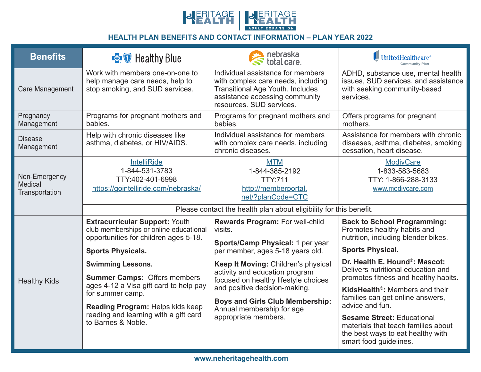

# **HEALTH PLAN BENEFITS AND CONTACT INFORMATION - PLAN YEAR 2022**

| <b>Benefits</b>                                   | <b>E</b> V Healthy Blue                                                                                                                                                                                                                 | nebraska<br>total care                                                                                                                                                                                                                        | UnitedHealthcare®<br><b>Community Plan</b>                                                                                                                                                                                                                                                                                                      |  |
|---------------------------------------------------|-----------------------------------------------------------------------------------------------------------------------------------------------------------------------------------------------------------------------------------------|-----------------------------------------------------------------------------------------------------------------------------------------------------------------------------------------------------------------------------------------------|-------------------------------------------------------------------------------------------------------------------------------------------------------------------------------------------------------------------------------------------------------------------------------------------------------------------------------------------------|--|
| Care Management                                   | Work with members one-on-one to<br>help manage care needs, help to<br>stop smoking, and SUD services.                                                                                                                                   | Individual assistance for members<br>with complex care needs, including<br><b>Transitional Age Youth. Includes</b><br>assistance accessing community<br>resources. SUD services.                                                              | ADHD, substance use, mental health<br>issues, SUD services, and assistance<br>with seeking community-based<br>services.                                                                                                                                                                                                                         |  |
| Pregnancy<br>Management                           | Programs for pregnant mothers and<br>babies.                                                                                                                                                                                            | Programs for pregnant mothers and<br>babies.                                                                                                                                                                                                  | Offers programs for pregnant<br>mothers.                                                                                                                                                                                                                                                                                                        |  |
| <b>Disease</b><br>Management                      | Help with chronic diseases like<br>asthma, diabetes, or HIV/AIDS.                                                                                                                                                                       | Individual assistance for members<br>with complex care needs, including<br>chronic diseases.                                                                                                                                                  | Assistance for members with chronic<br>diseases, asthma, diabetes, smoking<br>cessation, heart disease.                                                                                                                                                                                                                                         |  |
| Non-Emergency<br><b>Medical</b><br>Transportation | <b>IntelliRide</b><br>1-844-531-3783<br>TTY:402-401-6998<br>https://gointelliride.com/nebraska/                                                                                                                                         | <b>MTM</b><br>1-844-385-2192<br><b>TTY:711</b><br>http://memberportal.<br>net/?planCode=CTC                                                                                                                                                   | <b>ModivCare</b><br>1-833-583-5683<br>TTY: 1-866-288-3133<br>www.modivcare.com                                                                                                                                                                                                                                                                  |  |
|                                                   | Please contact the health plan about eligibility for this benefit.                                                                                                                                                                      |                                                                                                                                                                                                                                               |                                                                                                                                                                                                                                                                                                                                                 |  |
| <b>Healthy Kids</b>                               | <b>Extracurricular Support: Youth</b><br>club memberships or online educational<br>opportunities for children ages 5-18.<br><b>Sports Physicals.</b>                                                                                    | Rewards Program: For well-child<br>visits.<br>Sports/Camp Physical: 1 per year<br>per member, ages 5-18 years old.                                                                                                                            | <b>Back to School Programming:</b><br>Promotes healthy habits and<br>nutrition, including blender bikes.<br><b>Sports Physical.</b>                                                                                                                                                                                                             |  |
|                                                   | <b>Swimming Lessons.</b><br><b>Summer Camps: Offers members</b><br>ages 4-12 a Visa gift card to help pay<br>for summer camp.<br><b>Reading Program: Helps kids keep</b><br>reading and learning with a gift card<br>to Barnes & Noble. | Keep It Moving: Children's physical<br>activity and education program<br>focused on healthy lifestyle choices<br>and positive decision-making.<br><b>Boys and Girls Club Membership:</b><br>Annual membership for age<br>appropriate members. | Dr. Health E. Hound <sup>®</sup> : Mascot:<br>Delivers nutritional education and<br>promotes fitness and healthy habits.<br>KidsHealth <sup>®</sup> : Members and their<br>families can get online answers,<br>advice and fun.<br><b>Sesame Street: Educational</b><br>materials that teach families about<br>the best ways to eat healthy with |  |
|                                                   |                                                                                                                                                                                                                                         |                                                                                                                                                                                                                                               | smart food guidelines.                                                                                                                                                                                                                                                                                                                          |  |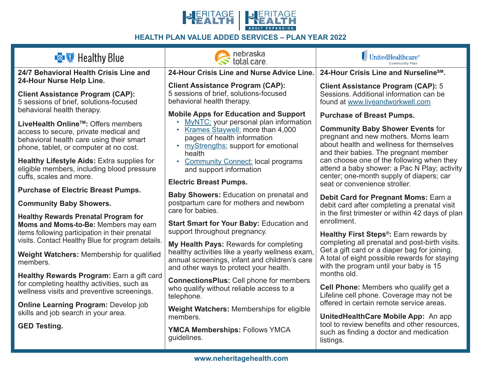

# **HEALTH PLAN VALUE ADDED SERVICES - PLAN YEAR 2022**

| <b>E</b> V Healthy Blue                                                                                                                                                                         | nebraska<br>total care                                                                                                                                                                                   | <b>J</b> UnitedHealthcare®                                                                                                                                                                               |
|-------------------------------------------------------------------------------------------------------------------------------------------------------------------------------------------------|----------------------------------------------------------------------------------------------------------------------------------------------------------------------------------------------------------|----------------------------------------------------------------------------------------------------------------------------------------------------------------------------------------------------------|
| 24/7 Behavioral Health Crisis Line and                                                                                                                                                          | 24-Hour Crisis Line and Nurse Advice Line.                                                                                                                                                               | 24-Hour Crisis Line and Nurseline <sup>SM</sup> .                                                                                                                                                        |
| 24-Hour Nurse Help Line.<br><b>Client Assistance Program (CAP):</b><br>5 sessions of brief, solutions-focused                                                                                   | <b>Client Assistance Program (CAP):</b><br>5 sessions of brief, solutions-focused<br>behavioral health therapy.                                                                                          | <b>Client Assistance Program (CAP): 5</b><br>Sessions. Additional information can be<br>found at www.liveandworkwell.com                                                                                 |
| behavioral health therapy.<br>LiveHealth Online™: Offers members<br>access to secure, private medical and<br>behavioral health care using their smart<br>phone, tablet, or computer at no cost. | <b>Mobile Apps for Education and Support</b><br>MyNTC: your personal plan information<br>Krames Staywell: more than 4,000<br>pages of health information<br>myStrengths: support for emotional<br>health | <b>Purchase of Breast Pumps.</b><br><b>Community Baby Shower Events for</b><br>pregnant and new mothers. Moms learn<br>about health and wellness for themselves<br>and their babies. The pregnant member |
| <b>Healthy Lifestyle Aids: Extra supplies for</b><br>eligible members, including blood pressure<br>cuffs, scales and more.                                                                      | • Community Connect: local programs<br>and support information<br><b>Electric Breast Pumps.</b>                                                                                                          | can choose one of the following when they<br>attend a baby shower: a Pac N Play; activity<br>center; one-month supply of diapers; car<br>seat or convenience stroller.                                   |
| <b>Purchase of Electric Breast Pumps.</b><br><b>Community Baby Showers.</b>                                                                                                                     | <b>Baby Showers: Education on prenatal and</b><br>postpartum care for mothers and newborn<br>care for babies.                                                                                            | Debit Card for Pregnant Moms: Earn a<br>debit card after completing a prenatal visit<br>in the first trimester or within 42 days of plan                                                                 |
| <b>Healthy Rewards Prenatal Program for</b><br>Moms and Moms-to-Be: Members may earn<br>items following participation in their prenatal<br>visits. Contact Healthy Blue for program details.    | <b>Start Smart for Your Baby: Education and</b><br>support throughout pregnancy.<br>My Health Pays: Rewards for completing                                                                               | enrollment.<br>Healthy First Steps <sup>®</sup> : Earn rewards by<br>completing all prenatal and post-birth visits.                                                                                      |
| Weight Watchers: Membership for qualified<br>members.                                                                                                                                           | healthy activities like a yearly wellness exam,<br>annual screenings, infant and children's care<br>and other ways to protect your health.                                                               | Get a gift card or a diaper bag for joining.<br>A total of eight possible rewards for staying<br>with the program until your baby is 15                                                                  |
| Healthy Rewards Program: Earn a gift card<br>for completing healthy activities, such as<br>wellness visits and preventive screenings.                                                           | <b>ConnectionsPlus: Cell phone for members</b><br>who qualify without reliable access to a<br>telephone.                                                                                                 | months old.<br><b>Cell Phone:</b> Members who qualify get a<br>Lifeline cell phone. Coverage may not be                                                                                                  |
| <b>Online Learning Program: Develop job</b><br>skills and job search in your area.                                                                                                              | <b>Weight Watchers: Memberships for eligible</b><br>members.                                                                                                                                             | offered in certain remote service areas.<br>United Health Care Mobile App: An app                                                                                                                        |
| <b>GED Testing.</b>                                                                                                                                                                             | <b>YMCA Memberships: Follows YMCA</b><br>guidelines.                                                                                                                                                     | tool to review benefits and other resources,<br>such as finding a doctor and medication<br>listings.                                                                                                     |